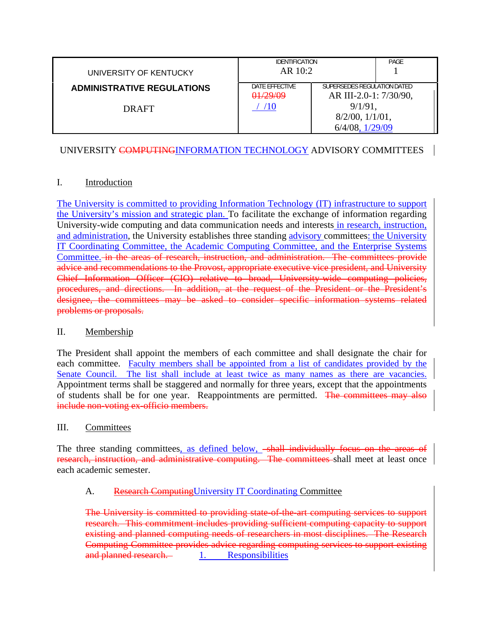| UNIVERSITY OF KENTUCKY                     | <b>IDENTIFICATION</b><br>AR 10:2 |                                                                                                                      | PAGE |
|--------------------------------------------|----------------------------------|----------------------------------------------------------------------------------------------------------------------|------|
| <b>ADMINISTRATIVE REGULATIONS</b><br>DRAFT | DATE EFFECTIVE<br>01/29/09       | SUPERSEDES REGULATION DATED<br>AR III-2.0-1: 7/30/90,<br>$9/1/91$ .<br>$8/2/00$ , $1/1/01$ ,<br>$6/4/08$ , $1/29/09$ |      |

# UNIVERSITY COMPUTINGINFORMATION TECHNOLOGY ADVISORY COMMITTEES

## I. Introduction

The University is committed to providing Information Technology (IT) infrastructure to support the University's mission and strategic plan. To facilitate the exchange of information regarding University-wide computing and data communication needs and interests in research, instruction, and administration, the University establishes three standing advisory committees: the University IT Coordinating Committee, the Academic Computing Committee, and the Enterprise Systems Committee. in the areas of research, instruction, and administration. The committees provide advice and recommendations to the Provost, appropriate executive vice president, and University Chief Information Officer (CIO) relative to broad, University-wide computing policies, procedures, and directions. In addition, at the request of the President or the President's designee, the committees may be asked to consider specific information systems related problems or proposals.

### II. Membership

The President shall appoint the members of each committee and shall designate the chair for each committee. Faculty members shall be appointed from a list of candidates provided by the Senate Council. The list shall include at least twice as many names as there are vacancies. Appointment terms shall be staggered and normally for three years, except that the appointments of students shall be for one year. Reappointments are permitted. The committees may also include non-voting ex-officio members.

### III. Committees

The three standing committees, as defined below, -shall individually focus on the areas of research, instruction, and administrative computing. The committees shall meet at least once each academic semester.

## A. Research Computing University IT Coordinating Committee

The University is committed to providing state-of-the-art computing services to support research. This commitment includes providing sufficient computing capacity to support existing and planned computing needs of researchers in most disciplines. The Research Computing Committee provides advice regarding computing services to support existing and planned research. 1. Responsibilities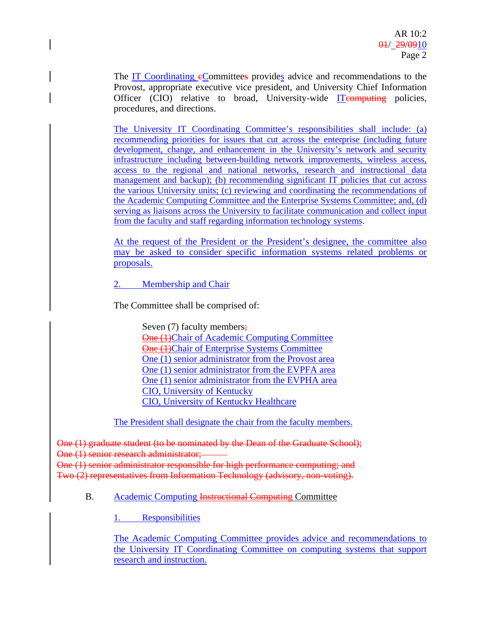The IT Coordinating eCommittees provides advice and recommendations to the Provost, appropriate executive vice president, and University Chief Information Officer (CIO) relative to broad, University-wide ITeomputing policies, procedures, and directions.

The University IT Coordinating Committee's responsibilities shall include: (a) recommending priorities for issues that cut across the enterprise (including future development, change, and enhancement in the University's network and security infrastructure including between-building network improvements, wireless access, access to the regional and national networks, research and instructional data management and backup); (b) recommending significant IT policies that cut across the various University units; (c) reviewing and coordinating the recommendations of the Academic Computing Committee and the Enterprise Systems Committee; and, (d) serving as liaisons across the University to facilitate communication and collect input from the faculty and staff regarding information technology systems.

At the request of the President or the President's designee, the committee also may be asked to consider specific information systems related problems or proposals.

2. Membership and Chair

The Committee shall be comprised of:

Seven (7) faculty members; One (1)Chair of Academic Computing Committee One (1)Chair of Enterprise Systems Committee One (1) senior administrator from the Provost area One (1) senior administrator from the EVPFA area One (1) senior administrator from the EVPHA area CIO, University of Kentucky CIO, University of Kentucky Healthcare

The President shall designate the chair from the faculty members.

One (1) graduate student (to be nominated by the Dean of the Graduate School); One (1) senior research administrator; One (1) senior administrator responsible for high performance computing; and

Two (2) representatives from Information Technology (advisory, non-voting).

## B. Academic Computing Instructional Computing Committee

1. Responsibilities

 The Academic Computing Committee provides advice and recommendations to the University IT Coordinating Committee on computing systems that support research and instruction.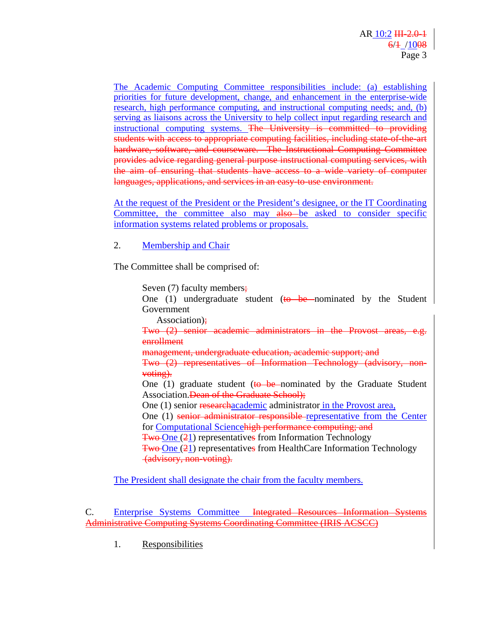The Academic Computing Committee responsibilities include: (a) establishing priorities for future development, change, and enhancement in the enterprise-wide research, high performance computing, and instructional computing needs; and, (b) serving as liaisons across the University to help collect input regarding research and instructional computing systems. The University is committed to providing students with access to appropriate computing facilities, including state of the art hardware, software, and courseware. The Instructional Computing Committee provides advice regarding general purpose instructional computing services, with the aim of ensuring that students have access to a wide variety of computer languages, applications, and services in an easy-to-use environment.

At the request of the President or the President's designee, or the IT Coordinating Committee, the committee also may also be asked to consider specific information systems related problems or proposals.

2. Membership and Chair

The Committee shall be comprised of:

Seven (7) faculty members; One (1) undergraduate student ( $\theta$  be nominated by the Student Government Association); Two (2) senior academic administrators in the Provost areas enrollment management, undergraduate education, academic support; and Two (2) representatives of Information Technology (advisory, nonvoting). One  $(1)$  graduate student (to be nominated by the Graduate Student Association. Dean of the Graduate School); One (1) senior researchacademic administrator in the Provost area, One (1) senior administrator responsible representative from the Center for Computational Sciencehigh performance computing; and Two One (21) representatives from Information Technology Two One (21) representatives from HealthCare Information Technology (advisory, non-voting).

The President shall designate the chair from the faculty members.

 C. Enterprise Systems Committee Integrated Resources Information Systems Administrative Computing Systems Coordinating Committee (IRIS ACSCC)

1. Responsibilities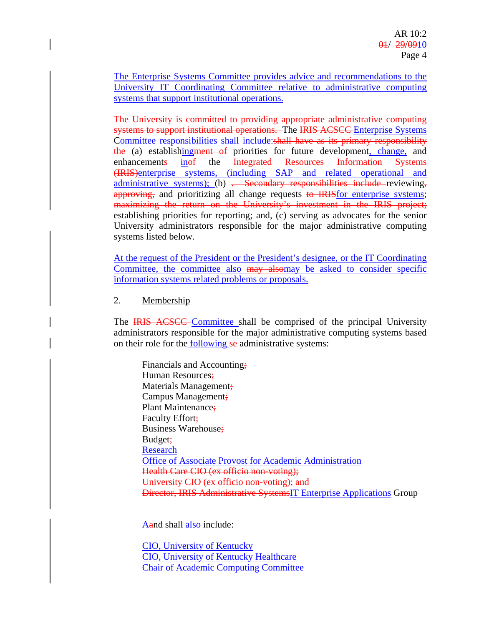The Enterprise Systems Committee provides advice and recommendations to the University IT Coordinating Committee relative to administrative computing systems that support institutional operations.

The University is committed to providing appropriate administrative computing systems to support institutional operations. The IRIS ACSCC Enterprise Systems Committee responsibilities shall include:shall have as its primary responsibility the (a) establishing ment of priorities for future development, change, and enhancements inof the Integrated Resources Information Systems (IRIS)enterprise systems, (including SAP and related operational and administrative systems); (b)  $\frac{1}{1}$  Secondary responsibilities include reviewing, approving, and prioritizing all change requests to IRIS for enterprise systems; maximizing the return on the University's investment in the IRIS project; establishing priorities for reporting; and, (c) serving as advocates for the senior University administrators responsible for the major administrative computing systems listed below.

At the request of the President or the President's designee, or the IT Coordinating Committee, the committee also may alsomay be asked to consider specific information systems related problems or proposals.

2. Membership

The **IRIS ACSCC** Committee shall be comprised of the principal University administrators responsible for the major administrative computing systems based on their role for the following se-administrative systems:

Financials and Accounting; Human Resources; Materials Management; Campus Management; Plant Maintenance; Faculty Effort; Business Warehouse; Budget; Research Office of Associate Provost for Academic Administration Health Care CIO (ex officio non-voting); University CIO (ex officio non-voting); and Director, IRIS Administrative SystemsIT Enterprise Applications Group

Aand shall also include:

CIO, University of Kentucky CIO, University of Kentucky Healthcare Chair of Academic Computing Committee